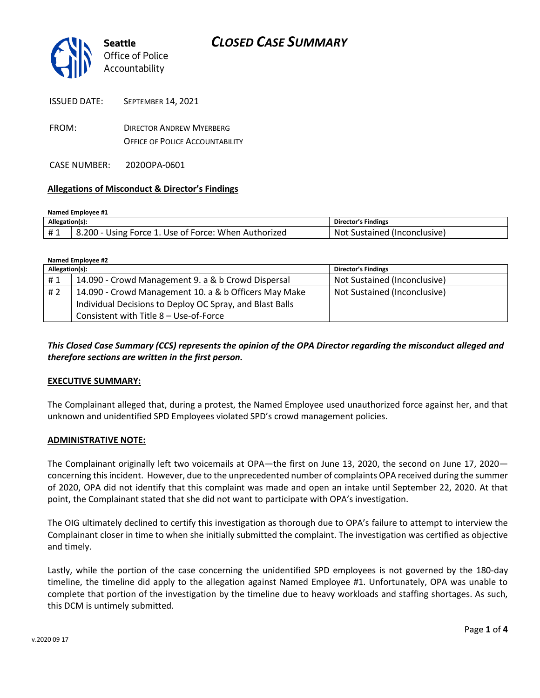

| ISSUED DATE: | <b>SEPTEMBER 14. 2021</b>              |
|--------------|----------------------------------------|
| FROM:        | <b>DIRECTOR ANDREW MYERBERG</b>        |
|              | <b>OFFICE OF POLICE ACCOUNTABILITY</b> |

CASE NUMBER: 2020OPA-0601

#### **Allegations of Misconduct & Director's Findings**

| Named Employee #1 |                                                      |                              |  |
|-------------------|------------------------------------------------------|------------------------------|--|
| Allegation(s):    |                                                      | Director's Findings          |  |
| #1                | 8.200 - Using Force 1. Use of Force: When Authorized | Not Sustained (Inconclusive) |  |

| Named Employee #2 |                                                          |                              |  |  |
|-------------------|----------------------------------------------------------|------------------------------|--|--|
| Allegation(s):    |                                                          | <b>Director's Findings</b>   |  |  |
| #1                | 14.090 - Crowd Management 9. a & b Crowd Dispersal       | Not Sustained (Inconclusive) |  |  |
| #2                | 14.090 - Crowd Management 10. a & b Officers May Make    | Not Sustained (Inconclusive) |  |  |
|                   | Individual Decisions to Deploy OC Spray, and Blast Balls |                              |  |  |
|                   | Consistent with Title 8 - Use-of-Force                   |                              |  |  |

## *This Closed Case Summary (CCS) represents the opinion of the OPA Director regarding the misconduct alleged and therefore sections are written in the first person.*

#### **EXECUTIVE SUMMARY:**

The Complainant alleged that, during a protest, the Named Employee used unauthorized force against her, and that unknown and unidentified SPD Employees violated SPD's crowd management policies.

#### **ADMINISTRATIVE NOTE:**

The Complainant originally left two voicemails at OPA—the first on June 13, 2020, the second on June 17, 2020 concerning this incident. However, due to the unprecedented number of complaints OPA received during the summer of 2020, OPA did not identify that this complaint was made and open an intake until September 22, 2020. At that point, the Complainant stated that she did not want to participate with OPA's investigation.

The OIG ultimately declined to certify this investigation as thorough due to OPA's failure to attempt to interview the Complainant closer in time to when she initially submitted the complaint. The investigation was certified as objective and timely.

Lastly, while the portion of the case concerning the unidentified SPD employees is not governed by the 180-day timeline, the timeline did apply to the allegation against Named Employee #1. Unfortunately, OPA was unable to complete that portion of the investigation by the timeline due to heavy workloads and staffing shortages. As such, this DCM is untimely submitted.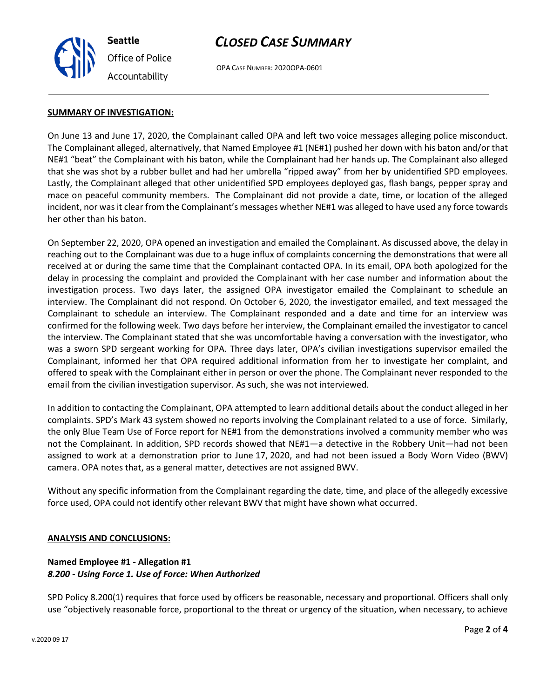

# *CLOSED CASE SUMMARY*

OPA CASE NUMBER: 2020OPA-0601

### **SUMMARY OF INVESTIGATION:**

On June 13 and June 17, 2020, the Complainant called OPA and left two voice messages alleging police misconduct. The Complainant alleged, alternatively, that Named Employee #1 (NE#1) pushed her down with his baton and/or that NE#1 "beat" the Complainant with his baton, while the Complainant had her hands up. The Complainant also alleged that she was shot by a rubber bullet and had her umbrella "ripped away" from her by unidentified SPD employees. Lastly, the Complainant alleged that other unidentified SPD employees deployed gas, flash bangs, pepper spray and mace on peaceful community members. The Complainant did not provide a date, time, or location of the alleged incident, nor was it clear from the Complainant's messages whether NE#1 was alleged to have used any force towards her other than his baton.

On September 22, 2020, OPA opened an investigation and emailed the Complainant. As discussed above, the delay in reaching out to the Complainant was due to a huge influx of complaints concerning the demonstrations that were all received at or during the same time that the Complainant contacted OPA. In its email, OPA both apologized for the delay in processing the complaint and provided the Complainant with her case number and information about the investigation process. Two days later, the assigned OPA investigator emailed the Complainant to schedule an interview. The Complainant did not respond. On October 6, 2020, the investigator emailed, and text messaged the Complainant to schedule an interview. The Complainant responded and a date and time for an interview was confirmed for the following week. Two days before her interview, the Complainant emailed the investigator to cancel the interview. The Complainant stated that she was uncomfortable having a conversation with the investigator, who was a sworn SPD sergeant working for OPA. Three days later, OPA's civilian investigations supervisor emailed the Complainant, informed her that OPA required additional information from her to investigate her complaint, and offered to speak with the Complainant either in person or over the phone. The Complainant never responded to the email from the civilian investigation supervisor. As such, she was not interviewed.

In addition to contacting the Complainant, OPA attempted to learn additional details about the conduct alleged in her complaints. SPD's Mark 43 system showed no reports involving the Complainant related to a use of force. Similarly, the only Blue Team Use of Force report for NE#1 from the demonstrations involved a community member who was not the Complainant. In addition, SPD records showed that NE#1—a detective in the Robbery Unit—had not been assigned to work at a demonstration prior to June 17, 2020, and had not been issued a Body Worn Video (BWV) camera. OPA notes that, as a general matter, detectives are not assigned BWV.

Without any specific information from the Complainant regarding the date, time, and place of the allegedly excessive force used, OPA could not identify other relevant BWV that might have shown what occurred.

### **ANALYSIS AND CONCLUSIONS:**

## **Named Employee #1 - Allegation #1** *8.200 - Using Force 1. Use of Force: When Authorized*

SPD Policy 8.200(1) requires that force used by officers be reasonable, necessary and proportional. Officers shall only use "objectively reasonable force, proportional to the threat or urgency of the situation, when necessary, to achieve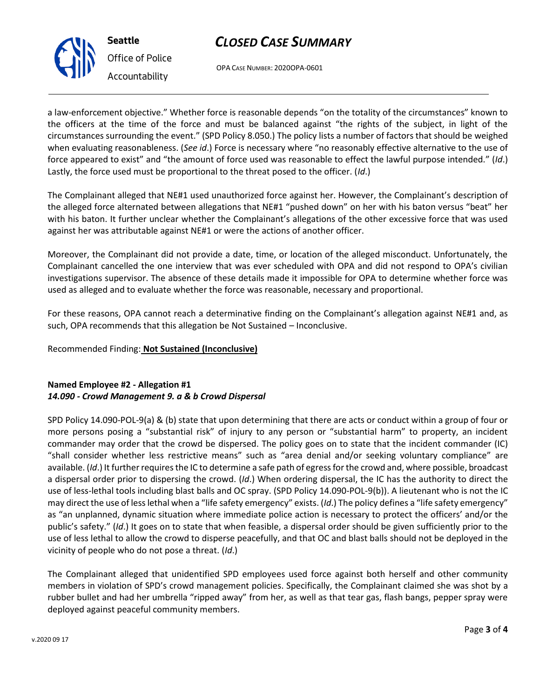

# *CLOSED CASE SUMMARY*

OPA CASE NUMBER: 2020OPA-0601

a law-enforcement objective." Whether force is reasonable depends "on the totality of the circumstances" known to the officers at the time of the force and must be balanced against "the rights of the subject, in light of the circumstances surrounding the event." (SPD Policy 8.050.) The policy lists a number of factors that should be weighed when evaluating reasonableness. (*See id*.) Force is necessary where "no reasonably effective alternative to the use of force appeared to exist" and "the amount of force used was reasonable to effect the lawful purpose intended." (*Id*.) Lastly, the force used must be proportional to the threat posed to the officer. (*Id*.)

The Complainant alleged that NE#1 used unauthorized force against her. However, the Complainant's description of the alleged force alternated between allegations that NE#1 "pushed down" on her with his baton versus "beat" her with his baton. It further unclear whether the Complainant's allegations of the other excessive force that was used against her was attributable against NE#1 or were the actions of another officer.

Moreover, the Complainant did not provide a date, time, or location of the alleged misconduct. Unfortunately, the Complainant cancelled the one interview that was ever scheduled with OPA and did not respond to OPA's civilian investigations supervisor. The absence of these details made it impossible for OPA to determine whether force was used as alleged and to evaluate whether the force was reasonable, necessary and proportional.

For these reasons, OPA cannot reach a determinative finding on the Complainant's allegation against NE#1 and, as such, OPA recommends that this allegation be Not Sustained – Inconclusive.

Recommended Finding: **Not Sustained (Inconclusive)**

# **Named Employee #2 - Allegation #1** *14.090 - Crowd Management 9. a & b Crowd Dispersal*

SPD Policy 14.090-POL-9(a) & (b) state that upon determining that there are acts or conduct within a group of four or more persons posing a "substantial risk" of injury to any person or "substantial harm" to property, an incident commander may order that the crowd be dispersed. The policy goes on to state that the incident commander (IC) "shall consider whether less restrictive means" such as "area denial and/or seeking voluntary compliance" are available. (*Id*.) It further requires the IC to determine a safe path of egress for the crowd and, where possible, broadcast a dispersal order prior to dispersing the crowd. (*Id*.) When ordering dispersal, the IC has the authority to direct the use of less-lethal tools including blast balls and OC spray. (SPD Policy 14.090-POL-9(b)). A lieutenant who is not the IC may direct the use of less lethal when a "life safety emergency" exists. (*Id*.) The policy defines a "life safety emergency" as "an unplanned, dynamic situation where immediate police action is necessary to protect the officers' and/or the public's safety." (*Id*.) It goes on to state that when feasible, a dispersal order should be given sufficiently prior to the use of less lethal to allow the crowd to disperse peacefully, and that OC and blast balls should not be deployed in the vicinity of people who do not pose a threat. (*Id*.)

The Complainant alleged that unidentified SPD employees used force against both herself and other community members in violation of SPD's crowd management policies. Specifically, the Complainant claimed she was shot by a rubber bullet and had her umbrella "ripped away" from her, as well as that tear gas, flash bangs, pepper spray were deployed against peaceful community members.